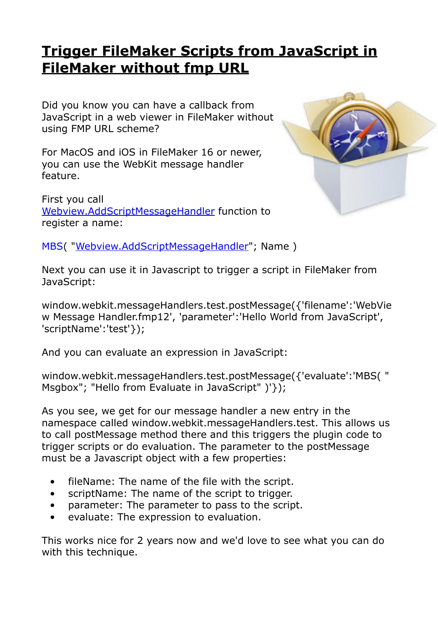## **[Trigger FileMaker Scripts from JavaScript in](https://www.mbs-plugins.com/archive/2020-04-09/Trigger_FileMaker_Scripts_from/monkeybreadsoftware_blog_filemaker)  [FileMaker without fmp URL](https://www.mbs-plugins.com/archive/2020-04-09/Trigger_FileMaker_Scripts_from/monkeybreadsoftware_blog_filemaker)**

Did you know you can have a callback from JavaScript in a web viewer in FileMaker without using FMP URL scheme?

For MacOS and iOS in FileMaker 16 or newer, you can use the WebKit message handler feature.

First you call [Webview.AddScriptMessageHandler](https://www.mbsplugins.eu/WebviewAddScriptMessageHandler.shtml) function to register a name:



MBS( "[Webview.AddScriptMessageHandler"](https://www.mbsplugins.eu/WebviewAddScriptMessageHandler.shtml); Name )

Next you can use it in Javascript to trigger a script in FileMaker from JavaScript:

window.webkit.messageHandlers.test.postMessage({'filename':'WebVie w Message Handler.fmp12', 'parameter':'Hello World from JavaScript', 'scriptName':'test'});

And you can evaluate an expression in JavaScript:

window.webkit.messageHandlers.test.postMessage({'evaluate':'MBS( " Msgbox"; "Hello from Evaluate in JavaScript" )'});

As you see, we get for our message handler a new entry in the namespace called window.webkit.messageHandlers.test. This allows us to call postMessage method there and this triggers the plugin code to trigger scripts or do evaluation. The parameter to the postMessage must be a Javascript object with a few properties:

- fileName: The name of the file with the script.
- scriptName: The name of the script to trigger.
- parameter: The parameter to pass to the script.
- evaluate: The expression to evaluation.

This works nice for 2 years now and we'd love to see what you can do with this technique.